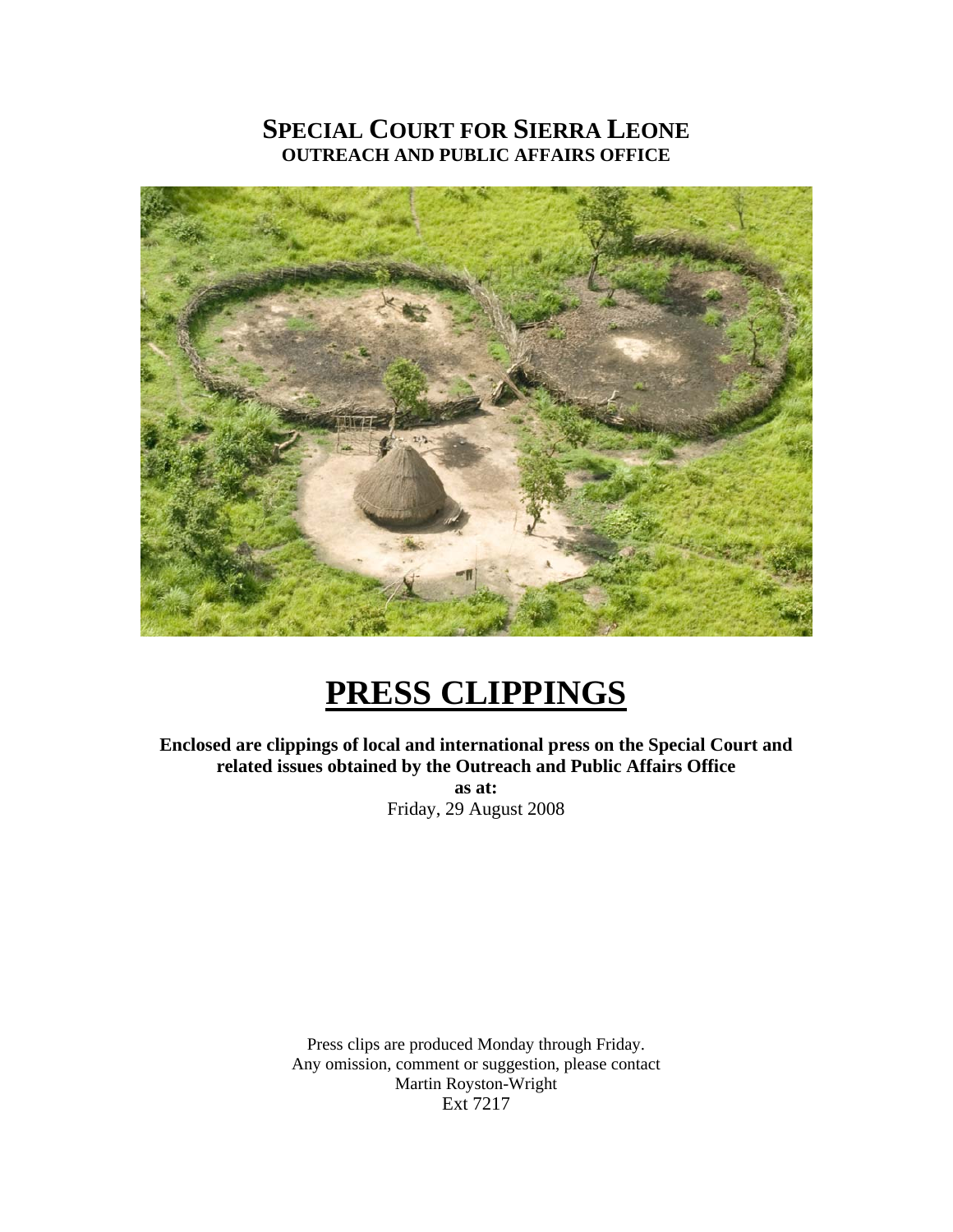# **SPECIAL COURT FOR SIERRA LEONE OUTREACH AND PUBLIC AFFAIRS OFFICE**



# **PRESS CLIPPINGS**

**Enclosed are clippings of local and international press on the Special Court and related issues obtained by the Outreach and Public Affairs Office as at:**  Friday, 29 August 2008

> Press clips are produced Monday through Friday. Any omission, comment or suggestion, please contact Martin Royston-Wright Ext 7217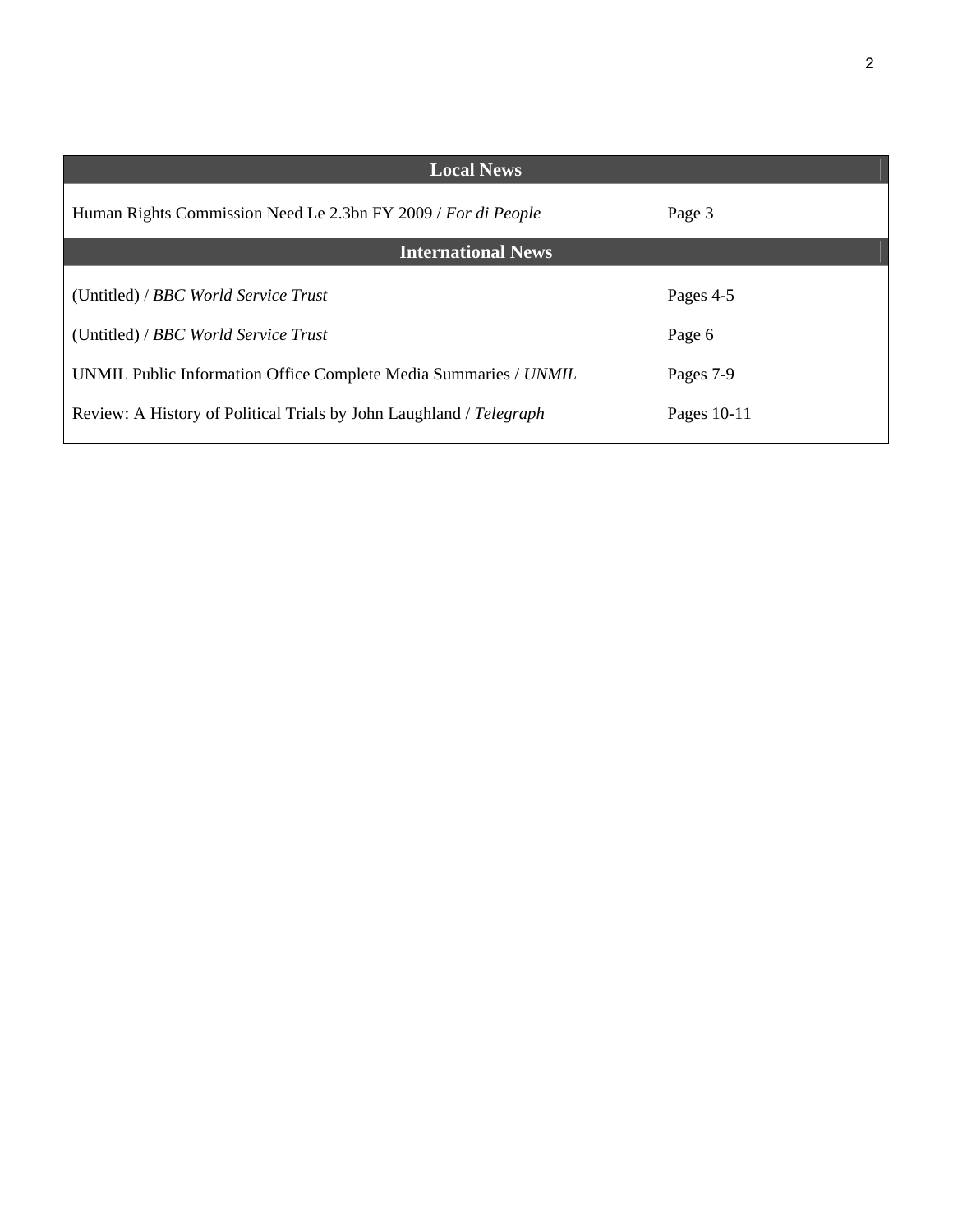| <b>Local News</b>                                                   |               |
|---------------------------------------------------------------------|---------------|
| Human Rights Commission Need Le 2.3bn FY 2009 / For di People       | Page 3        |
| <b>International News</b>                                           |               |
| (Untitled) / BBC World Service Trust                                | Pages 4-5     |
| (Untitled) / BBC World Service Trust                                | Page 6        |
| UNMIL Public Information Office Complete Media Summaries / UNMIL    | Pages 7-9     |
| Review: A History of Political Trials by John Laughland / Telegraph | Pages $10-11$ |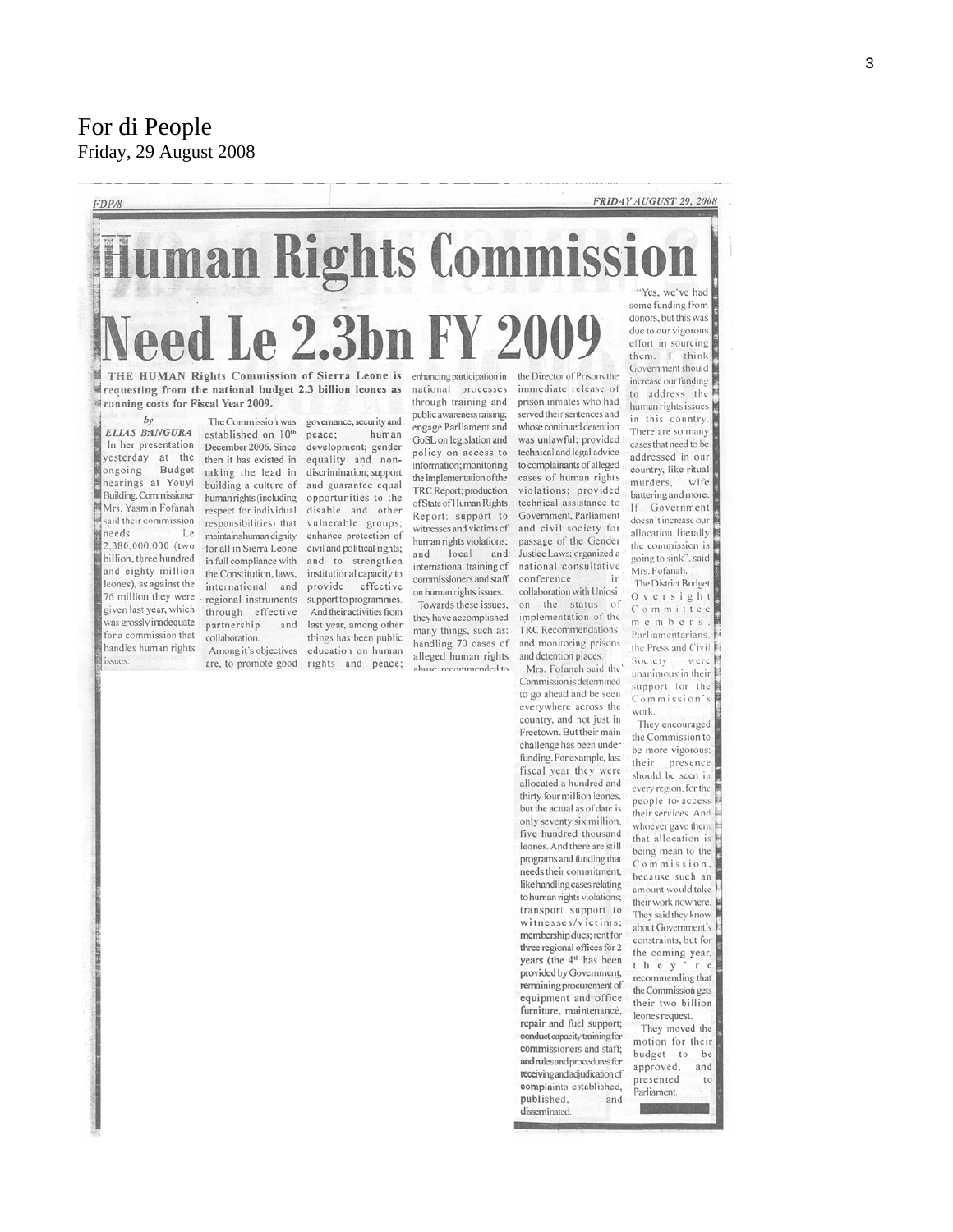For di People Friday, 29 August 2008

FDP/8

#### FRIDAY AUGUST 29, 2008

**Iman Rights Comm**  $\bullet$ **Le 2.3bn F** 

THE HUMAN Rights Commission of Sierra Leone is requesting from the national budget 2.3 billion leones as Frunning costs for Fiscal Year 2009.

ELIAS BANGURA In her presentation yesterday at the Budget ongoing hearings at Youyi Building, Commissioner Mrs. Yasmin Fofanah said their commission needs Le 2,380,000,000 (two billion, three hundred and eighty million leones), as against the 76 million they were given last year, which was grossly inadequate for a commission that handles human rights issues.

The Commission was established on 10<sup>th</sup> December 2006. Since then it has existed in taking the lead in building a culture of human rights (including respect for individual responsibilities) that maintains human dignity for all in Sierra Leone in full compliance with the Constitution, laws, international and regional instruments through effective partnership and collaboration.

Among it's objectives

governance, security and peace: human development; gender equality and nondiscrimination; support and guarantee equal opportunities to the disable and other vulnerable groups; enhance protection of civil and political rights; and to strengthen institutional capacity to provide effective support to programmes. And their activities from last year, among other things has been public education on human are, to promote good rights and peace;

and

enhancing participation in national processes through training and public awareness raising; engage Parliament and GoSL on legislation and policy on access to information; monitoring the implementation of the TRC Report; production of State of Human Rights Report; support to witnesses and victims of human rights violations; local and international training of commissioners and staff on human rights issues. Towards these issues, they have accomplished many things, such as: handling 70 cases of alleged human rights abuse: recommended to

the Director of Prisons the immediate release of prison inmates who had served their sentences and whose continued detention was unlawful; provided technical and legal advice to complainants of alleged cases of human rights violations; provided technical assistance to Government, Parliament and civil society for passage of the Gender Justice Laws; organized a national consultative conference in. collaboration with Uniosil on the status of implementation of the

TRC Recommendations: and monitoring prisons and detention places. Mrs. Fofanah said the Commission is determined

to go ahead and be seen everywhere across the country, and not just in Freetown. But their main challenge has been under funding. For example, last fiscal year they were allocated a hundred and thirty four million leones, but the actual as of date is only seventy six million, five hundred thousand leones. And there are still programs and funding that needs their commitment, like handling cases relating to human rights violations: transport support to witnesses/victims: membership dues; rent for three regional offices for 2 years (the 4<sup>th</sup> has been provided by Government; remaining procurement of equipment and office furniture, maintenance, repair and fuel support; conduct capacity training for commissioners and staff; and rules and procedures for receiving and adjudication of complaints established, published. and disseminated

some funding from donors, but this was due to our vigorous effort in sourcing them. I think Government should increase our funding to address the human rights issues in this country. There are so many cases that need to be addressed in our country, like ritual murders, wife battering and more. If Government doesn't increase our allocation, literally the commission is going to sink", said Mrs. Fofanah. The District Budget  $0$  v e r s i g h t Committee

members. Parliamentarians. the Press and Civil Society were unanimous in their support for the Commission's

work.

They encouraged the Commission to be more vigorous: their. presence should be seen in every region, for the people to access their services. And whoever gave them that allocation is being mean to the Commission, because such an amount would take their work nowhere. They said they know about Government's constraints, but for the coming year, they recommending that the Commission gets their two billion leones request. They moved the motion for their

budget to be approved, and presented to Parliament.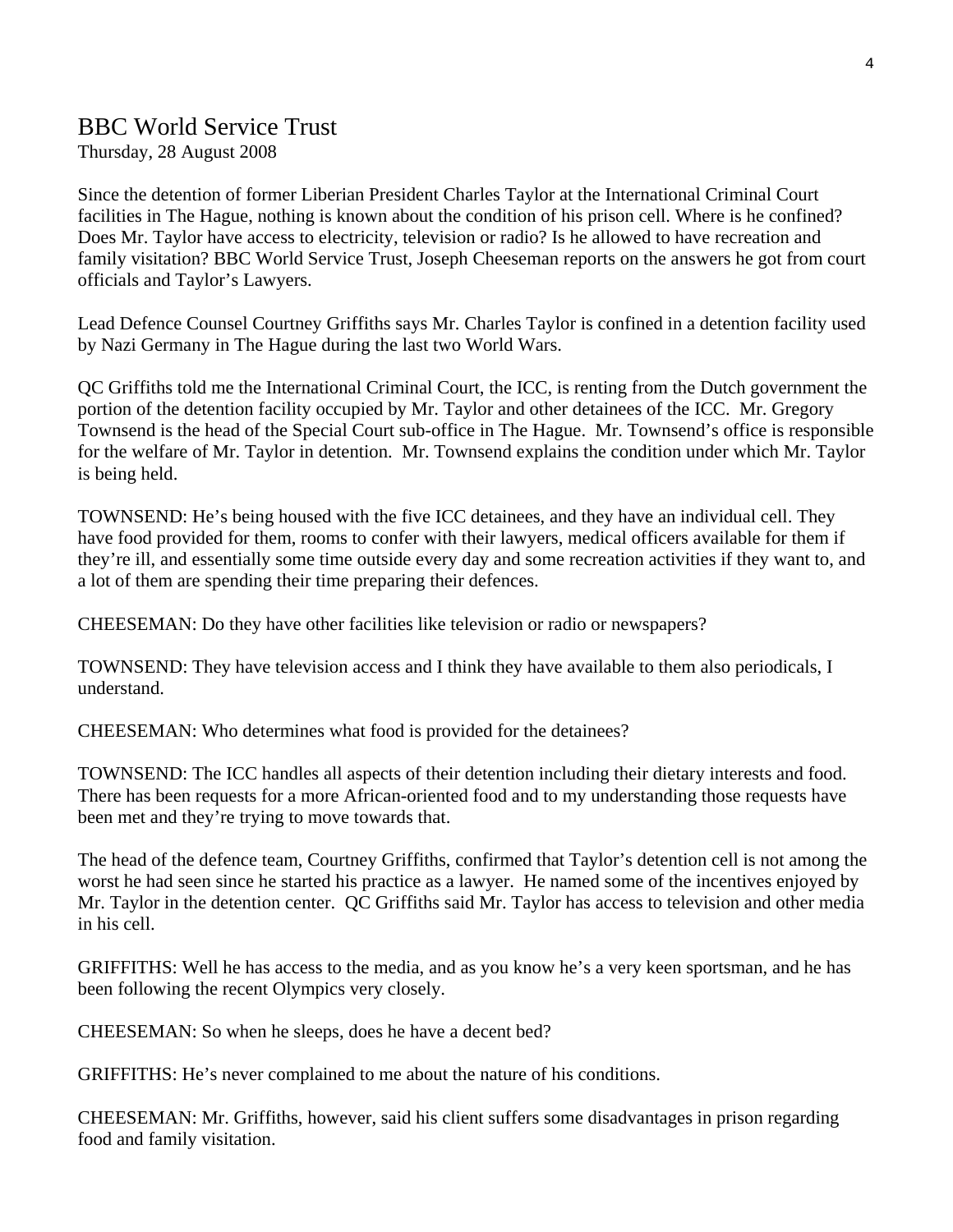# BBC World Service Trust

Thursday, 28 August 2008

Since the detention of former Liberian President Charles Taylor at the International Criminal Court facilities in The Hague, nothing is known about the condition of his prison cell. Where is he confined? Does Mr. Taylor have access to electricity, television or radio? Is he allowed to have recreation and family visitation? BBC World Service Trust, Joseph Cheeseman reports on the answers he got from court officials and Taylor's Lawyers.

Lead Defence Counsel Courtney Griffiths says Mr. Charles Taylor is confined in a detention facility used by Nazi Germany in The Hague during the last two World Wars.

QC Griffiths told me the International Criminal Court, the ICC, is renting from the Dutch government the portion of the detention facility occupied by Mr. Taylor and other detainees of the ICC. Mr. Gregory Townsend is the head of the Special Court sub-office in The Hague. Mr. Townsend's office is responsible for the welfare of Mr. Taylor in detention. Mr. Townsend explains the condition under which Mr. Taylor is being held.

TOWNSEND: He's being housed with the five ICC detainees, and they have an individual cell. They have food provided for them, rooms to confer with their lawyers, medical officers available for them if they're ill, and essentially some time outside every day and some recreation activities if they want to, and a lot of them are spending their time preparing their defences.

CHEESEMAN: Do they have other facilities like television or radio or newspapers?

TOWNSEND: They have television access and I think they have available to them also periodicals, I understand.

CHEESEMAN: Who determines what food is provided for the detainees?

TOWNSEND: The ICC handles all aspects of their detention including their dietary interests and food. There has been requests for a more African-oriented food and to my understanding those requests have been met and they're trying to move towards that.

The head of the defence team, Courtney Griffiths, confirmed that Taylor's detention cell is not among the worst he had seen since he started his practice as a lawyer. He named some of the incentives enjoyed by Mr. Taylor in the detention center. QC Griffiths said Mr. Taylor has access to television and other media in his cell.

GRIFFITHS: Well he has access to the media, and as you know he's a very keen sportsman, and he has been following the recent Olympics very closely.

CHEESEMAN: So when he sleeps, does he have a decent bed?

GRIFFITHS: He's never complained to me about the nature of his conditions.

CHEESEMAN: Mr. Griffiths, however, said his client suffers some disadvantages in prison regarding food and family visitation.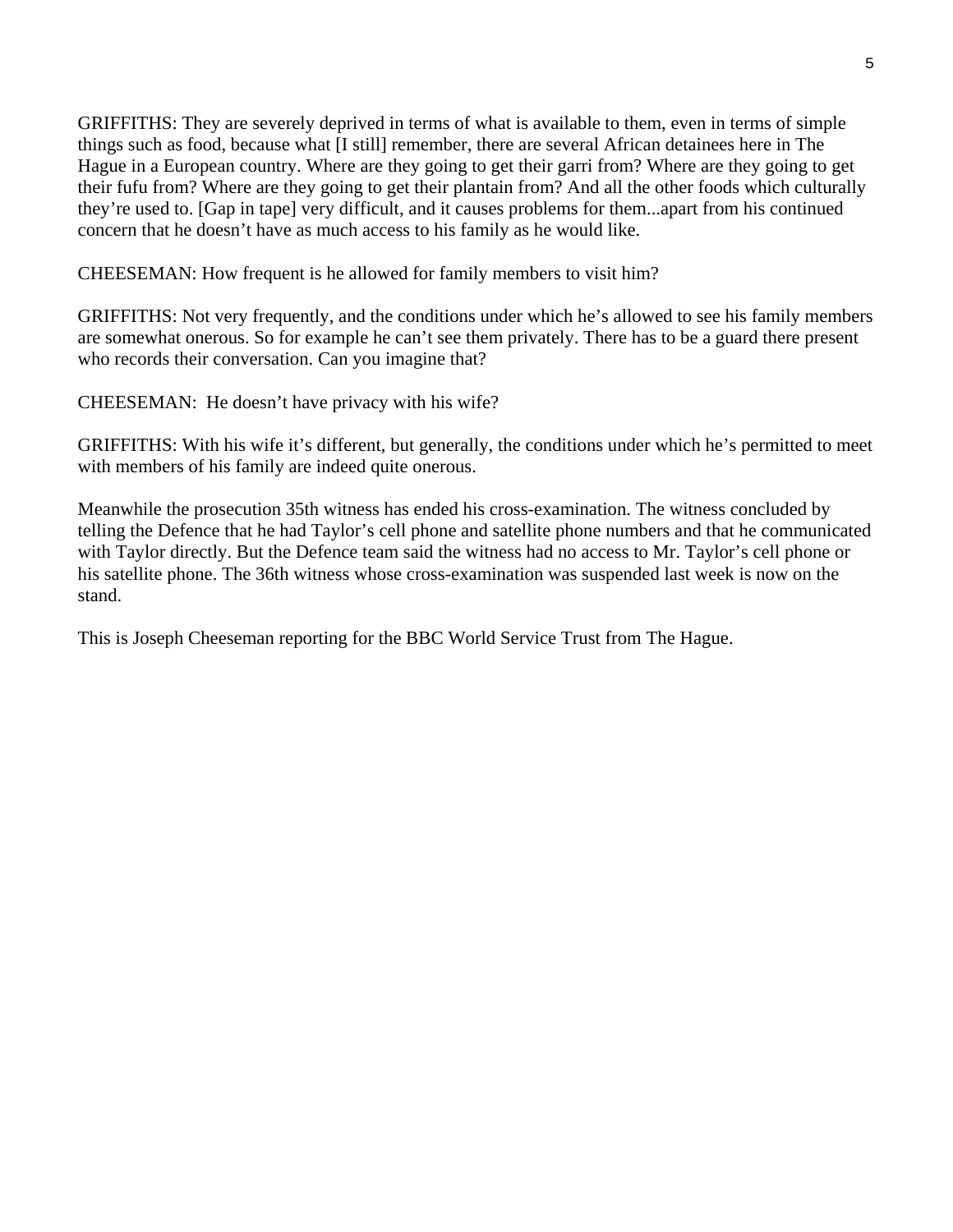GRIFFITHS: They are severely deprived in terms of what is available to them, even in terms of simple things such as food, because what [I still] remember, there are several African detainees here in The Hague in a European country. Where are they going to get their garri from? Where are they going to get their fufu from? Where are they going to get their plantain from? And all the other foods which culturally they're used to. [Gap in tape] very difficult, and it causes problems for them...apart from his continued concern that he doesn't have as much access to his family as he would like.

CHEESEMAN: How frequent is he allowed for family members to visit him?

GRIFFITHS: Not very frequently, and the conditions under which he's allowed to see his family members are somewhat onerous. So for example he can't see them privately. There has to be a guard there present who records their conversation. Can you imagine that?

CHEESEMAN: He doesn't have privacy with his wife?

GRIFFITHS: With his wife it's different, but generally, the conditions under which he's permitted to meet with members of his family are indeed quite onerous.

Meanwhile the prosecution 35th witness has ended his cross-examination. The witness concluded by telling the Defence that he had Taylor's cell phone and satellite phone numbers and that he communicated with Taylor directly. But the Defence team said the witness had no access to Mr. Taylor's cell phone or his satellite phone. The 36th witness whose cross-examination was suspended last week is now on the stand.

This is Joseph Cheeseman reporting for the BBC World Service Trust from The Hague.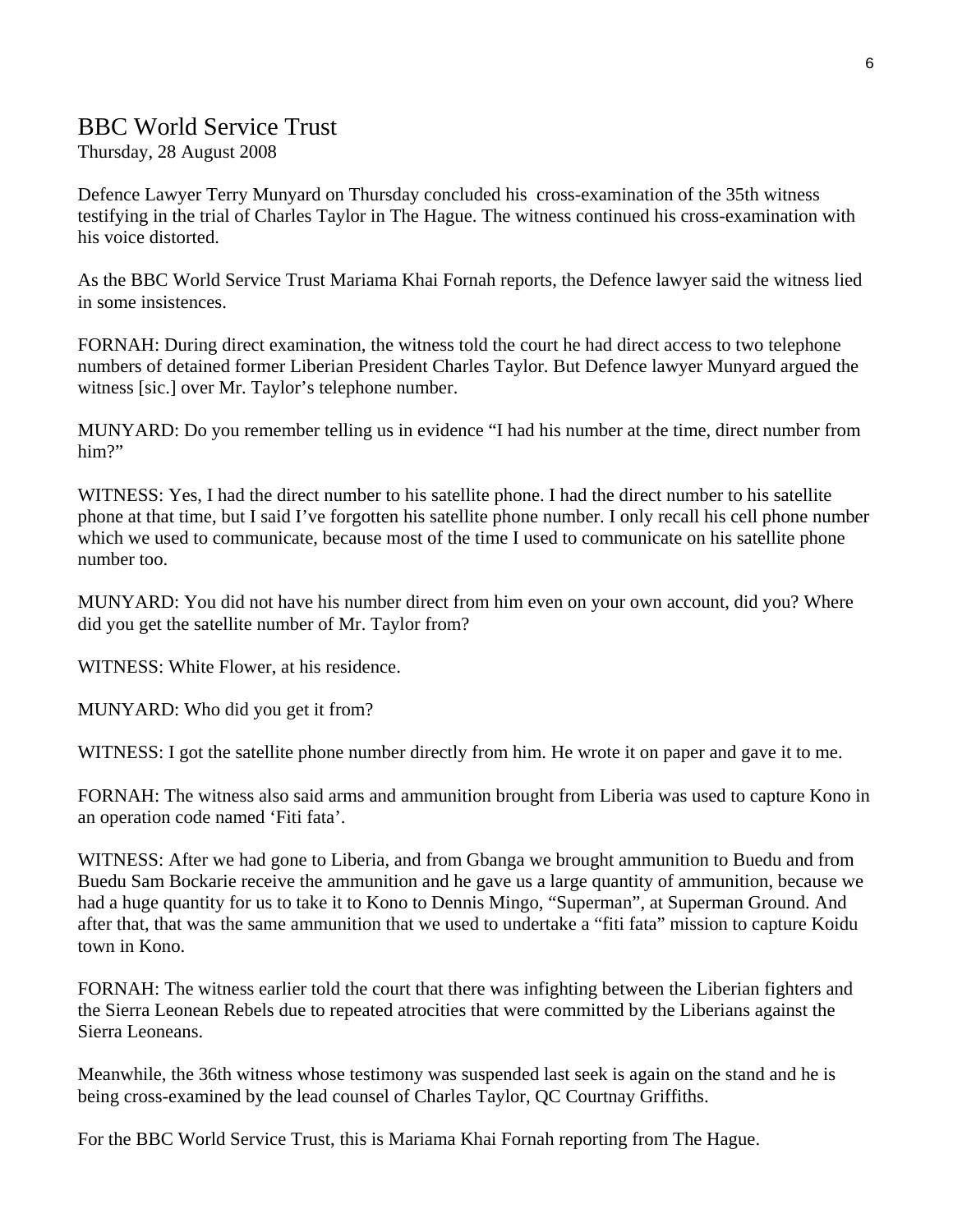# BBC World Service Trust

Thursday, 28 August 2008

Defence Lawyer Terry Munyard on Thursday concluded his cross-examination of the 35th witness testifying in the trial of Charles Taylor in The Hague. The witness continued his cross-examination with his voice distorted.

As the BBC World Service Trust Mariama Khai Fornah reports, the Defence lawyer said the witness lied in some insistences.

FORNAH: During direct examination, the witness told the court he had direct access to two telephone numbers of detained former Liberian President Charles Taylor. But Defence lawyer Munyard argued the witness [sic.] over Mr. Taylor's telephone number.

MUNYARD: Do you remember telling us in evidence "I had his number at the time, direct number from him?"

WITNESS: Yes, I had the direct number to his satellite phone. I had the direct number to his satellite phone at that time, but I said I've forgotten his satellite phone number. I only recall his cell phone number which we used to communicate, because most of the time I used to communicate on his satellite phone number too.

MUNYARD: You did not have his number direct from him even on your own account, did you? Where did you get the satellite number of Mr. Taylor from?

WITNESS: White Flower, at his residence.

MUNYARD: Who did you get it from?

WITNESS: I got the satellite phone number directly from him. He wrote it on paper and gave it to me.

FORNAH: The witness also said arms and ammunition brought from Liberia was used to capture Kono in an operation code named 'Fiti fata'.

WITNESS: After we had gone to Liberia, and from Gbanga we brought ammunition to Buedu and from Buedu Sam Bockarie receive the ammunition and he gave us a large quantity of ammunition, because we had a huge quantity for us to take it to Kono to Dennis Mingo, "Superman", at Superman Ground. And after that, that was the same ammunition that we used to undertake a "fiti fata" mission to capture Koidu town in Kono.

FORNAH: The witness earlier told the court that there was infighting between the Liberian fighters and the Sierra Leonean Rebels due to repeated atrocities that were committed by the Liberians against the Sierra Leoneans.

Meanwhile, the 36th witness whose testimony was suspended last seek is again on the stand and he is being cross-examined by the lead counsel of Charles Taylor, QC Courtnay Griffiths.

For the BBC World Service Trust, this is Mariama Khai Fornah reporting from The Hague.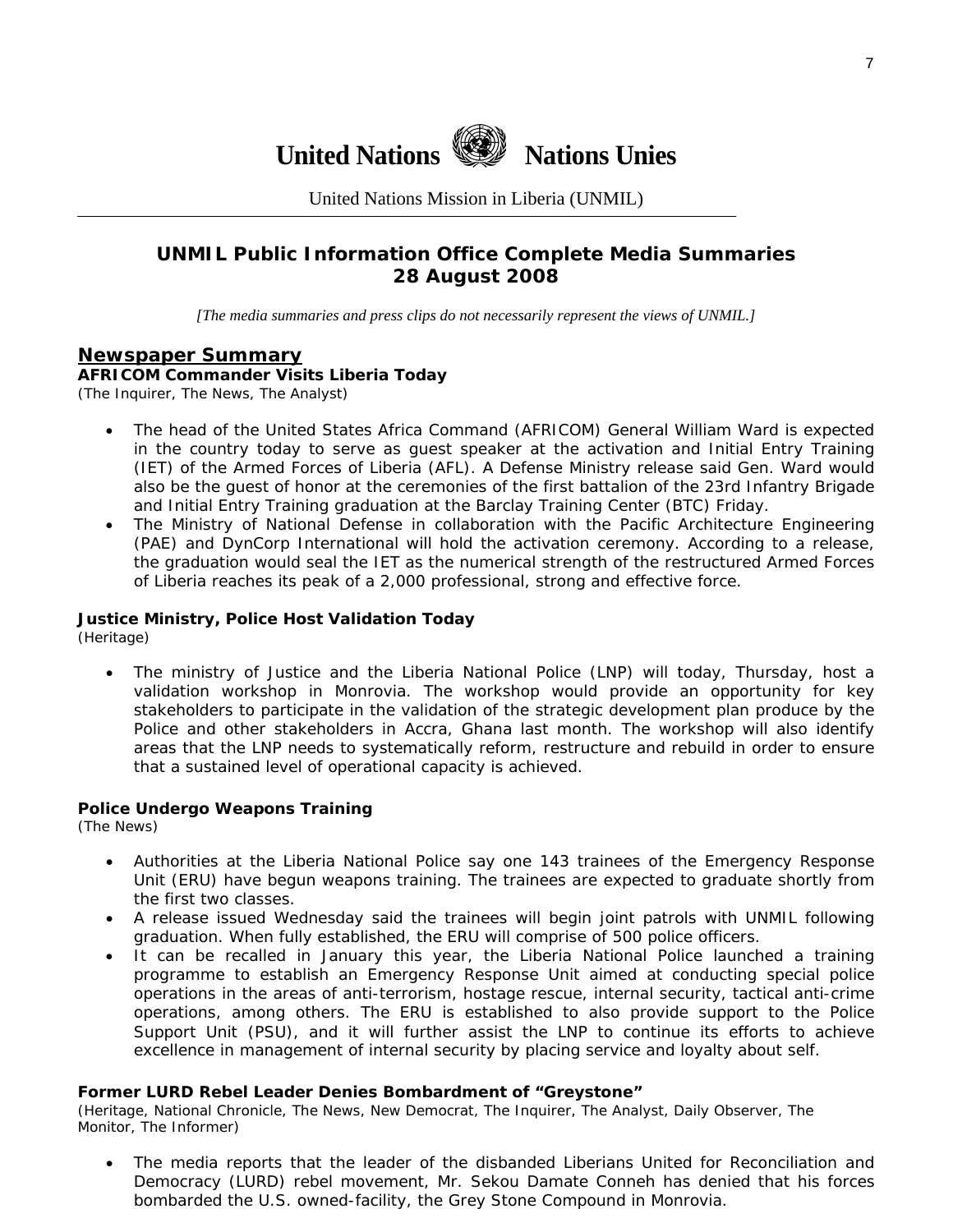

United Nations Mission in Liberia (UNMIL)

# **UNMIL Public Information Office Complete Media Summaries 28 August 2008**

*[The media summaries and press clips do not necessarily represent the views of UNMIL.]* 

## **Newspaper Summary**

**AFRICOM Commander Visits Liberia Today**  (The Inquirer, The News, The Analyst)

- The head of the United States Africa Command (AFRICOM) General William Ward is expected in the country today to serve as guest speaker at the activation and Initial Entry Training (IET) of the Armed Forces of Liberia (AFL). A Defense Ministry release said Gen. Ward would also be the guest of honor at the ceremonies of the first battalion of the 23rd Infantry Brigade and Initial Entry Training graduation at the Barclay Training Center (BTC) Friday.
- The Ministry of National Defense in collaboration with the Pacific Architecture Engineering (PAE) and DynCorp International will hold the activation ceremony. According to a release, the graduation would seal the IET as the numerical strength of the restructured Armed Forces of Liberia reaches its peak of a 2,000 professional, strong and effective force.

#### **Justice Ministry, Police Host Validation Today**

(Heritage)

• The ministry of Justice and the Liberia National Police (LNP) will today, Thursday, host a validation workshop in Monrovia. The workshop would provide an opportunity for key stakeholders to participate in the validation of the strategic development plan produce by the Police and other stakeholders in Accra, Ghana last month. The workshop will also identify areas that the LNP needs to systematically reform, restructure and rebuild in order to ensure that a sustained level of operational capacity is achieved.

#### **Police Undergo Weapons Training**

(The News)

- Authorities at the Liberia National Police say one 143 trainees of the Emergency Response Unit (ERU) have begun weapons training. The trainees are expected to graduate shortly from the first two classes.
- A release issued Wednesday said the trainees will begin joint patrols with UNMIL following graduation. When fully established, the ERU will comprise of 500 police officers.
- It can be recalled in January this year, the Liberia National Police launched a training programme to establish an Emergency Response Unit aimed at conducting special police operations in the areas of anti-terrorism, hostage rescue, internal security, tactical anti-crime operations, among others. The ERU is established to also provide support to the Police Support Unit (PSU), and it will further assist the LNP to continue its efforts to achieve excellence in management of internal security by placing service and loyalty about self.

#### **Former LURD Rebel Leader Denies Bombardment of "Greystone"**

(Heritage, National Chronicle, The News, New Democrat, The Inquirer, The Analyst, Daily Observer, The Monitor, The Informer)

The media reports that the leader of the disbanded Liberians United for Reconciliation and Democracy (LURD) rebel movement, Mr. Sekou Damate Conneh has denied that his forces bombarded the U.S. owned-facility, the Grey Stone Compound in Monrovia.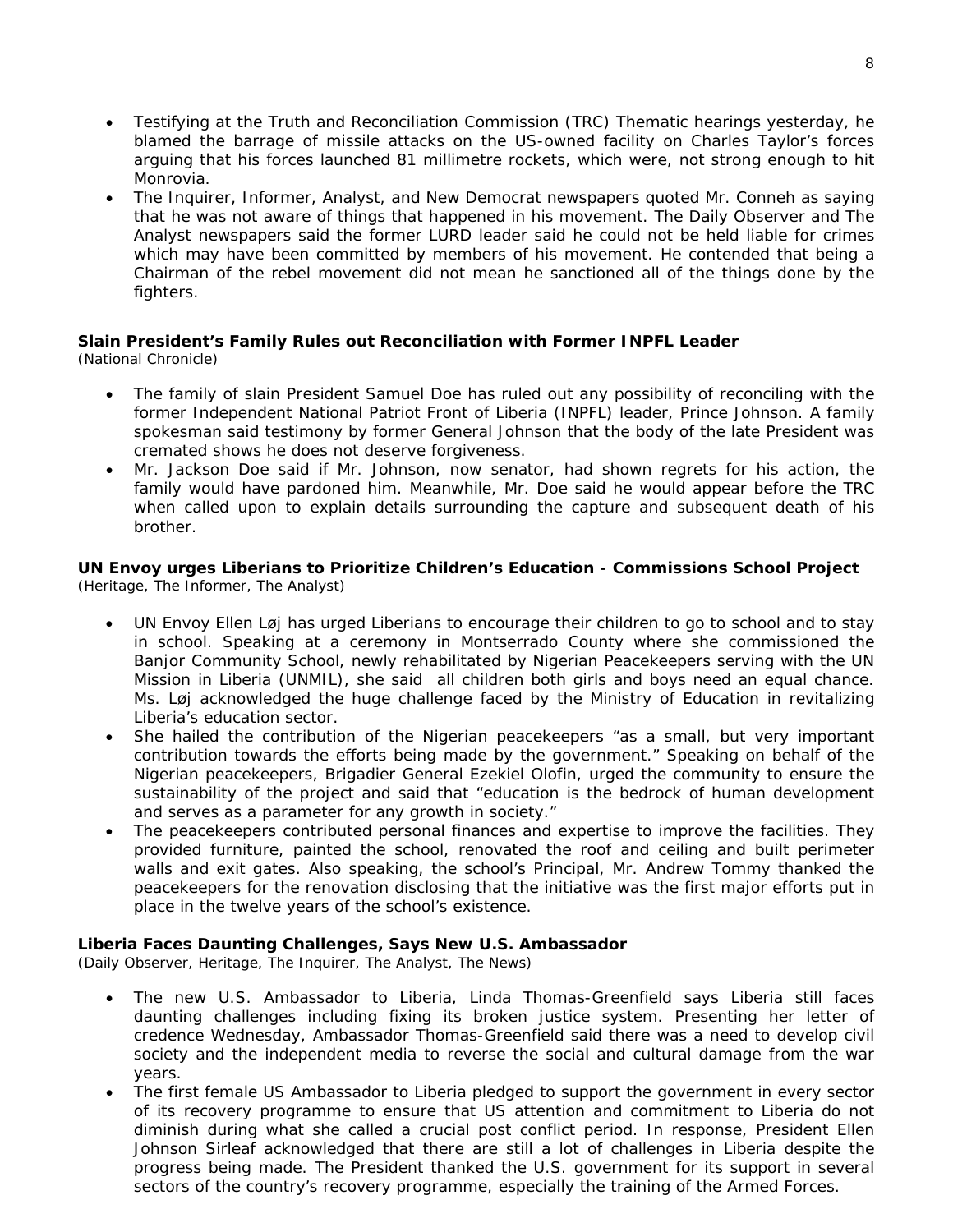- Testifying at the Truth and Reconciliation Commission (TRC) Thematic hearings yesterday, he blamed the barrage of missile attacks on the US-owned facility on Charles Taylor's forces arguing that his forces launched 81 millimetre rockets, which were, not strong enough to hit Monrovia.
- The Inquirer, Informer, Analyst, and New Democrat newspapers quoted Mr. Conneh as saying that he was not aware of things that happened in his movement. The Daily Observer and The Analyst newspapers said the former LURD leader said he could not be held liable for crimes which may have been committed by members of his movement. He contended that being a Chairman of the rebel movement did not mean he sanctioned all of the things done by the fighters.

# **Slain President's Family Rules out Reconciliation with Former INPFL Leader**

(National Chronicle)

- The family of slain President Samuel Doe has ruled out any possibility of reconciling with the former Independent National Patriot Front of Liberia (INPFL) leader, Prince Johnson. A family spokesman said testimony by former General Johnson that the body of the late President was cremated shows he does not deserve forgiveness.
- Mr. Jackson Doe said if Mr. Johnson, now senator, had shown regrets for his action, the family would have pardoned him. Meanwhile, Mr. Doe said he would appear before the TRC when called upon to explain details surrounding the capture and subsequent death of his brother.

#### **UN Envoy urges Liberians to Prioritize Children's Education - Commissions School Project**  (Heritage, The Informer, The Analyst)

- UN Envoy Ellen Løj has urged Liberians to encourage their children to go to school and to stay in school. Speaking at a ceremony in Montserrado County where she commissioned the Banjor Community School, newly rehabilitated by Nigerian Peacekeepers serving with the UN Mission in Liberia (UNMIL), she said all children both girls and boys need an equal chance. Ms. Løj acknowledged the huge challenge faced by the Ministry of Education in revitalizing Liberia's education sector.
- She hailed the contribution of the Nigerian peacekeepers "as a small, but very important contribution towards the efforts being made by the government." Speaking on behalf of the Nigerian peacekeepers, Brigadier General Ezekiel Olofin, urged the community to ensure the sustainability of the project and said that "education is the bedrock of human development and serves as a parameter for any growth in society."
- The peacekeepers contributed personal finances and expertise to improve the facilities. They provided furniture, painted the school, renovated the roof and ceiling and built perimeter walls and exit gates. Also speaking, the school's Principal, Mr. Andrew Tommy thanked the peacekeepers for the renovation disclosing that the initiative was the first major efforts put in place in the twelve years of the school's existence.

### **Liberia Faces Daunting Challenges, Says New U.S. Ambassador**

(Daily Observer, Heritage, The Inquirer, The Analyst, The News)

- The new U.S. Ambassador to Liberia, Linda Thomas-Greenfield says Liberia still faces daunting challenges including fixing its broken justice system. Presenting her letter of credence Wednesday, Ambassador Thomas-Greenfield said there was a need to develop civil society and the independent media to reverse the social and cultural damage from the war years.
- The first female US Ambassador to Liberia pledged to support the government in every sector of its recovery programme to ensure that US attention and commitment to Liberia do not diminish during what she called a crucial post conflict period. In response, President Ellen Johnson Sirleaf acknowledged that there are still a lot of challenges in Liberia despite the progress being made. The President thanked the U.S. government for its support in several sectors of the country's recovery programme, especially the training of the Armed Forces.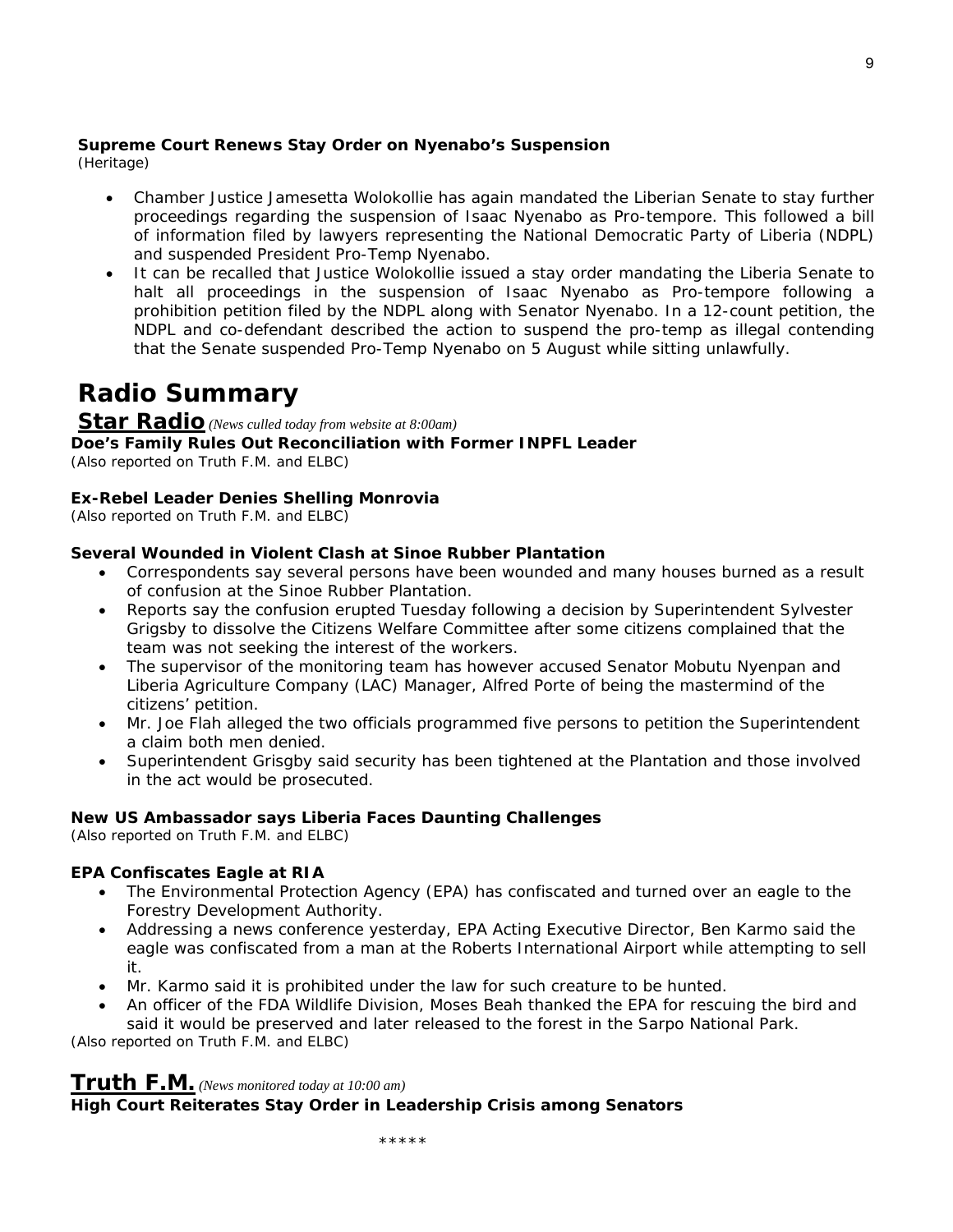# **Supreme Court Renews Stay Order on Nyenabo's Suspension**

(Heritage)

- Chamber Justice Jamesetta Wolokollie has again mandated the Liberian Senate to stay further proceedings regarding the suspension of Isaac Nyenabo as Pro-tempore. This followed a bill of information filed by lawyers representing the National Democratic Party of Liberia (NDPL) and suspended President Pro-Temp Nyenabo.
- It can be recalled that Justice Wolokollie issued a stay order mandating the Liberia Senate to halt all proceedings in the suspension of Isaac Nyenabo as Pro-tempore following a prohibition petition filed by the NDPL along with Senator Nyenabo. In a 12-count petition, the NDPL and co-defendant described the action to suspend the pro-temp as illegal contending that the Senate suspended Pro-Temp Nyenabo on 5 August while sitting unlawfully.

# **Radio Summary**

# **Star Radio** *(News culled today from website at 8:00am)*

**Doe's Family Rules Out Reconciliation with Former INPFL Leader**  *(Also reported on Truth F.M. and ELBC)*

# **Ex-Rebel Leader Denies Shelling Monrovia**

*(Also reported on Truth F.M. and ELBC)* 

# **Several Wounded in Violent Clash at Sinoe Rubber Plantation**

- Correspondents say several persons have been wounded and many houses burned as a result of confusion at the Sinoe Rubber Plantation.
- Reports say the confusion erupted Tuesday following a decision by Superintendent Sylvester Grigsby to dissolve the Citizens Welfare Committee after some citizens complained that the team was not seeking the interest of the workers.
- The supervisor of the monitoring team has however accused Senator Mobutu Nyenpan and Liberia Agriculture Company (LAC) Manager, Alfred Porte of being the mastermind of the citizens' petition.
- Mr. Joe Flah alleged the two officials programmed five persons to petition the Superintendent a claim both men denied.
- Superintendent Grisgby said security has been tightened at the Plantation and those involved in the act would be prosecuted.

# **New US Ambassador says Liberia Faces Daunting Challenges**

*(Also reported on Truth F.M. and ELBC)* 

# **EPA Confiscates Eagle at RIA**

- The Environmental Protection Agency (EPA) has confiscated and turned over an eagle to the Forestry Development Authority.
- Addressing a news conference yesterday, EPA Acting Executive Director, Ben Karmo said the eagle was confiscated from a man at the Roberts International Airport while attempting to sell it.
- Mr. Karmo said it is prohibited under the law for such creature to be hunted.
- An officer of the FDA Wildlife Division, Moses Beah thanked the EPA for rescuing the bird and said it would be preserved and later released to the forest in the Sarpo National Park.

*(Also reported on Truth F.M. and ELBC)* 

# **Truth F.M.** *(News monitored today at 10:00 am)*

# **High Court Reiterates Stay Order in Leadership Crisis among Senators**

9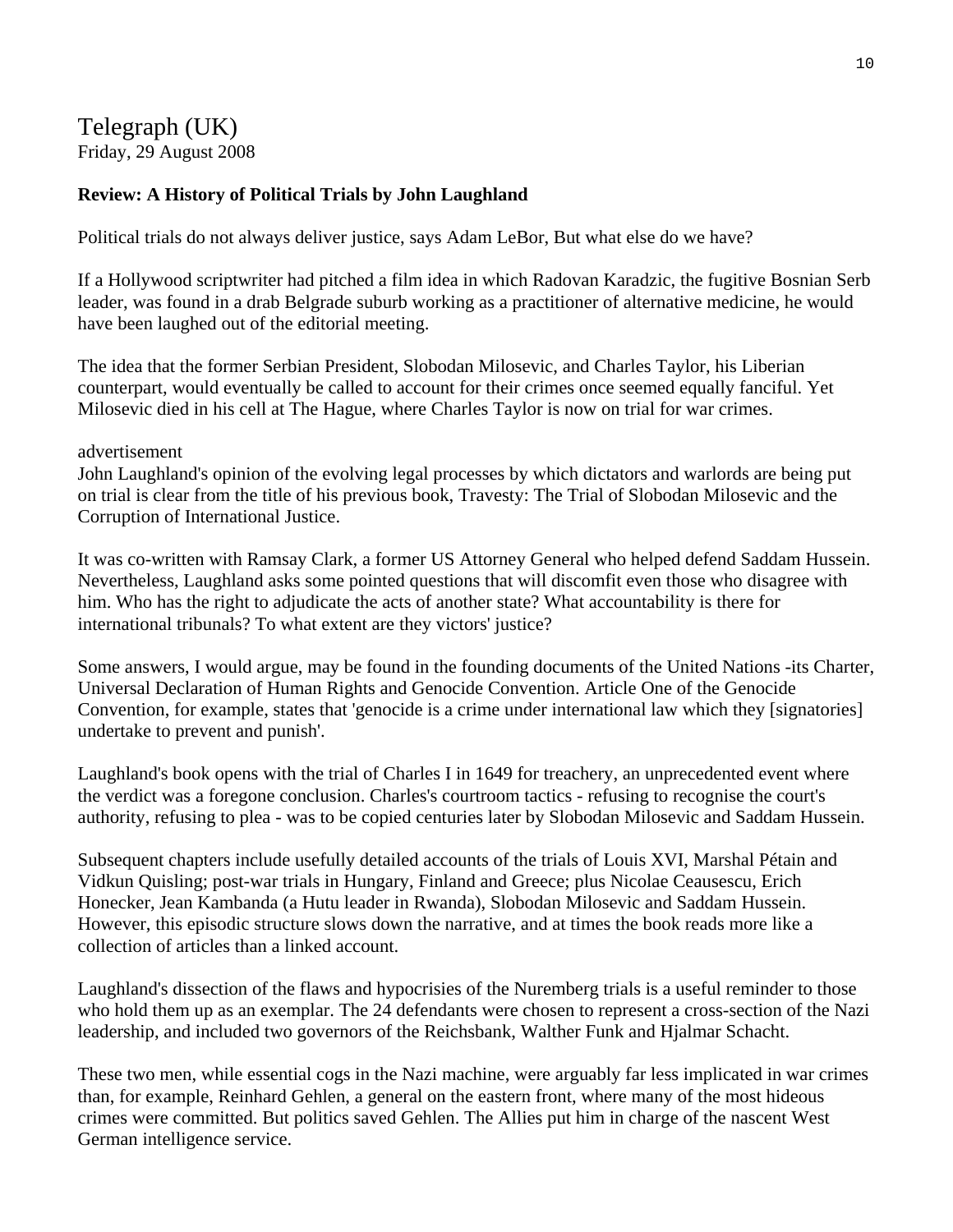Telegraph (UK) Friday, 29 August 2008

# **Review: A History of Political Trials by John Laughland**

Political trials do not always deliver justice, says Adam LeBor, But what else do we have?

If a Hollywood scriptwriter had pitched a film idea in which Radovan Karadzic, the fugitive Bosnian Serb leader, was found in a drab Belgrade suburb working as a practitioner of alternative medicine, he would have been laughed out of the editorial meeting.

The idea that the former Serbian President, Slobodan Milosevic, and Charles Taylor, his Liberian counterpart, would eventually be called to account for their crimes once seemed equally fanciful. Yet Milosevic died in his cell at The Hague, where Charles Taylor is now on trial for war crimes.

advertisement

John Laughland's opinion of the evolving legal processes by which dictators and warlords are being put on trial is clear from the title of his previous book, Travesty: The Trial of Slobodan Milosevic and the Corruption of International Justice.

It was co-written with Ramsay Clark, a former US Attorney General who helped defend Saddam Hussein. Nevertheless, Laughland asks some pointed questions that will discomfit even those who disagree with him. Who has the right to adjudicate the acts of another state? What accountability is there for international tribunals? To what extent are they victors' justice?

Some answers, I would argue, may be found in the founding documents of the United Nations -its Charter, Universal Declaration of Human Rights and Genocide Convention. Article One of the Genocide Convention, for example, states that 'genocide is a crime under international law which they [signatories] undertake to prevent and punish'.

Laughland's book opens with the trial of Charles I in 1649 for treachery, an unprecedented event where the verdict was a foregone conclusion. Charles's courtroom tactics - refusing to recognise the court's authority, refusing to plea - was to be copied centuries later by Slobodan Milosevic and Saddam Hussein.

Subsequent chapters include usefully detailed accounts of the trials of Louis XVI, Marshal Pétain and Vidkun Quisling; post-war trials in Hungary, Finland and Greece; plus Nicolae Ceausescu, Erich Honecker, Jean Kambanda (a Hutu leader in Rwanda), Slobodan Milosevic and Saddam Hussein. However, this episodic structure slows down the narrative, and at times the book reads more like a collection of articles than a linked account.

Laughland's dissection of the flaws and hypocrisies of the Nuremberg trials is a useful reminder to those who hold them up as an exemplar. The 24 defendants were chosen to represent a cross-section of the Nazi leadership, and included two governors of the Reichsbank, Walther Funk and Hjalmar Schacht.

These two men, while essential cogs in the Nazi machine, were arguably far less implicated in war crimes than, for example, Reinhard Gehlen, a general on the eastern front, where many of the most hideous crimes were committed. But politics saved Gehlen. The Allies put him in charge of the nascent West German intelligence service.